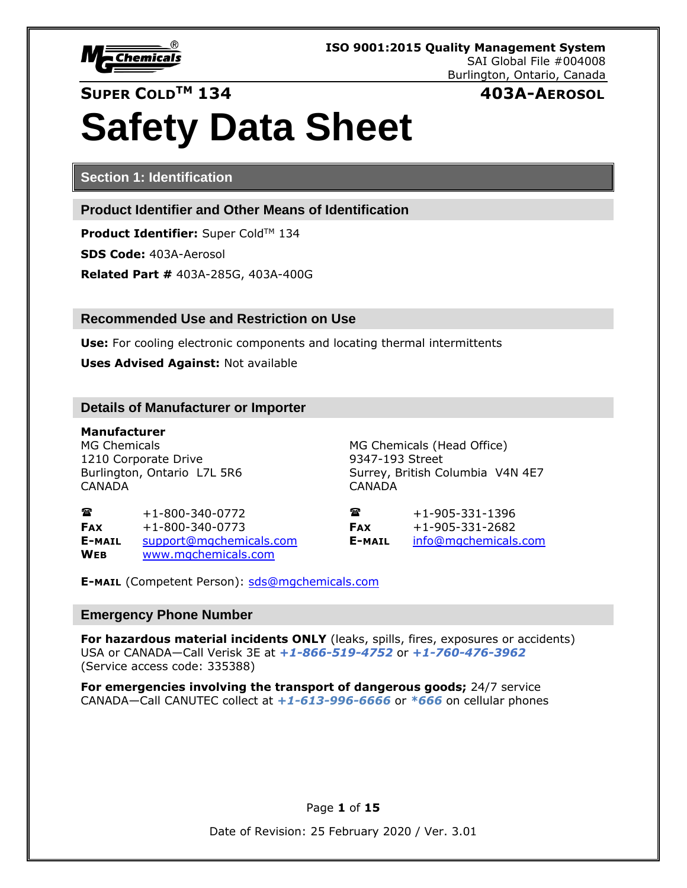

**SUPER COLDTM 134 403A-AEROSOL**

# **Safety Data Sheet**

**Section 1: Identification**

**Product Identifier and Other Means of Identification**

**Product Identifier:** Super Cold™ 134 **SDS Code:** 403A-Aerosol **Related Part #** 403A-285G, 403A-400G

### **Recommended Use and Restriction on Use**

**Use:** For cooling electronic components and locating thermal intermittents

**Uses Advised Against:** Not available

#### **Details of Manufacturer or Importer**

**Manufacturer** MG Chemicals MG Chemicals (Head Office) 1210 Corporate Drive 9347-193 Street CANADA CANADA

Burlington, Ontario L7L 5R6 Surrey, British Columbia V4N 4E7

 $\bullet$  +1-800-340-0772  $\bullet$   $\bullet$  +1-905-331-1396 **FAX** +1-800-340-0773 **FAX** +1-905-331-2682 **E-MAIL** [support@mgchemicals.com](mailto:support@mgchemicals.com) **E-MAIL** [info@mgchemicals.com](mailto:info@mgchemicals.com) **WEB** [www.mgchemicals.com](http://www.mgchemicals.com/)

**E-MAIL** (Competent Person): [sds@mgchemicals.com](mailto:sds@mgchemicals.com)

#### **Emergency Phone Number**

**For hazardous material incidents ONLY** (leaks, spills, fires, exposures or accidents) USA or CANADA—Call Verisk 3E at *+1-866-519-4752* or *+1-760-476-3962*  (Service access code: 335388)

**For emergencies involving the transport of dangerous goods;** 24/7 service CANADA—Call CANUTEC collect at *+1-613-996-6666* or *\*666* on cellular phones

Page **1** of **15**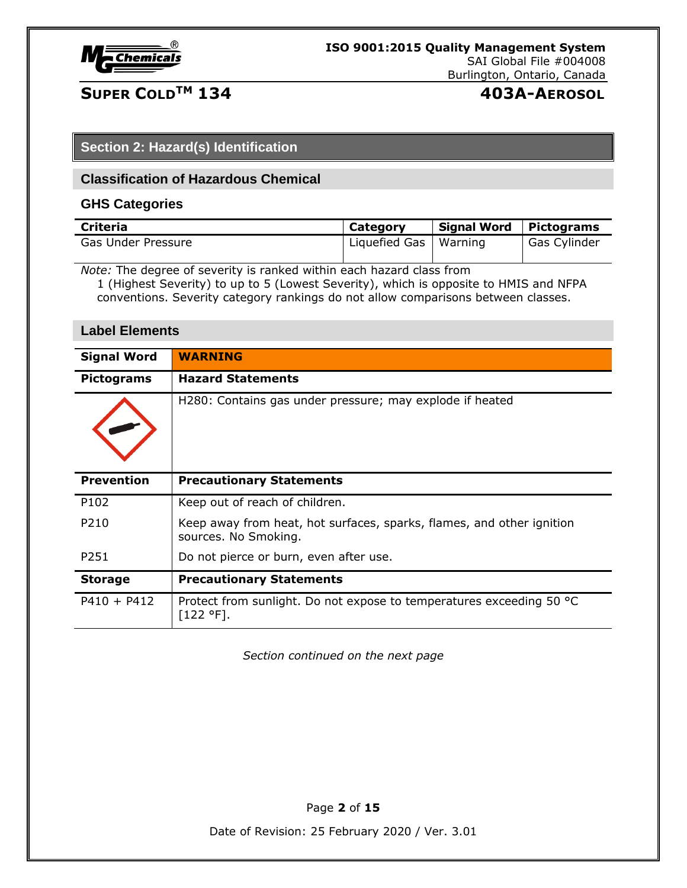

# **SUPER COLDTM 134 403A-AEROSOL**

### **Section 2: Hazard(s) Identification**

#### **Classification of Hazardous Chemical**

#### **GHS Categories**

| <b>Criteria</b>    | Category                | <b>Signal Word</b> | Pictograms   |
|--------------------|-------------------------|--------------------|--------------|
| Gas Under Pressure | Liquefied Gas   Warning |                    | Gas Cylinder |

*Note:* The degree of severity is ranked within each hazard class from

1 (Highest Severity) to up to 5 (Lowest Severity), which is opposite to HMIS and NFPA conventions. Severity category rankings do not allow comparisons between classes.

#### **Label Elements**

| <b>Signal Word</b> | <b>WARNING</b>                                                                                |
|--------------------|-----------------------------------------------------------------------------------------------|
| <b>Pictograms</b>  | <b>Hazard Statements</b>                                                                      |
|                    | H280: Contains gas under pressure; may explode if heated                                      |
| <b>Prevention</b>  | <b>Precautionary Statements</b>                                                               |
| P102               | Keep out of reach of children.                                                                |
| P210               | Keep away from heat, hot surfaces, sparks, flames, and other ignition<br>sources. No Smoking. |
| P <sub>251</sub>   | Do not pierce or burn, even after use.                                                        |
| <b>Storage</b>     | <b>Precautionary Statements</b>                                                               |
| $P410 + P412$      | Protect from sunlight. Do not expose to temperatures exceeding 50 °C<br>$[122 °F]$ .          |

*Section continued on the next page*

Page **2** of **15**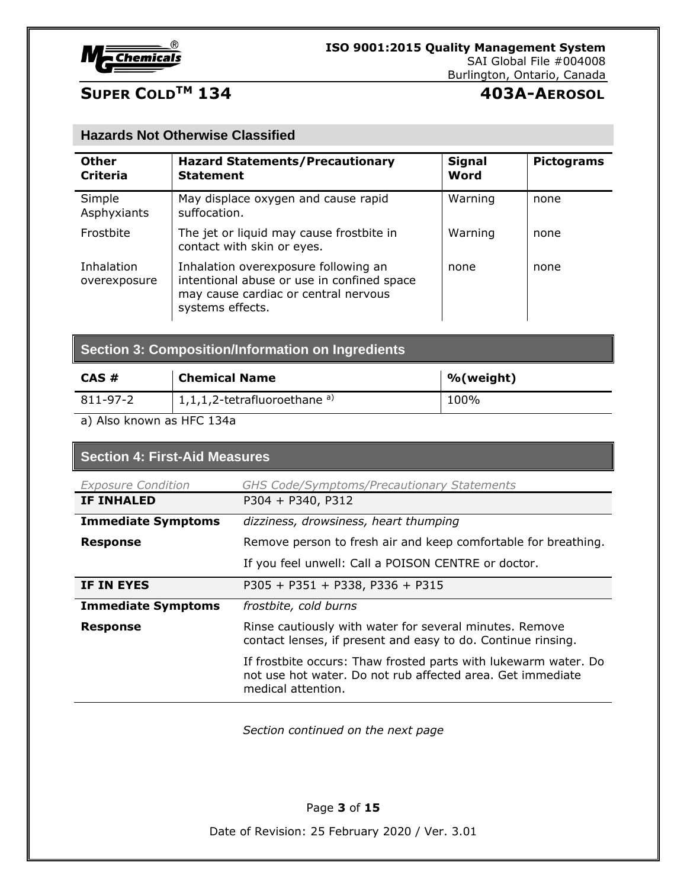

# **SUPER COLDTM 134 403A-AEROSOL**

#### **Hazards Not Otherwise Classified**

| <b>Other</b><br><b>Criteria</b> | <b>Hazard Statements/Precautionary</b><br><b>Statement</b>                                                                                     | <b>Signal</b><br>Word | <b>Pictograms</b> |
|---------------------------------|------------------------------------------------------------------------------------------------------------------------------------------------|-----------------------|-------------------|
| Simple<br>Asphyxiants           | May displace oxygen and cause rapid<br>suffocation.                                                                                            | Warning               | none              |
| Frostbite                       | The jet or liquid may cause frostbite in<br>contact with skin or eyes.                                                                         | Warning               | none              |
| Inhalation<br>overexposure      | Inhalation overexposure following an<br>intentional abuse or use in confined space<br>may cause cardiac or central nervous<br>systems effects. | none                  | none              |

| <b>Section 3: Composition/Information on Ingredients</b> |  |  |  |
|----------------------------------------------------------|--|--|--|
|                                                          |  |  |  |

| $CAS \#$ | <b>Chemical Name</b>                       | %(weight) |
|----------|--------------------------------------------|-----------|
| 811-97-2 | $1,1,1,2$ -tetrafluoroethane <sup>a)</sup> | 100%      |

a) Also known as HFC 134a

# **Section 4: First-Aid Measures**

| <b>Exposure Condition</b> | <b>GHS Code/Symptoms/Precautionary Statements</b>                                                                                                   |
|---------------------------|-----------------------------------------------------------------------------------------------------------------------------------------------------|
| <b>IF INHALED</b>         | P304 + P340, P312                                                                                                                                   |
| <b>Immediate Symptoms</b> | dizziness, drowsiness, heart thumping                                                                                                               |
| <b>Response</b>           | Remove person to fresh air and keep comfortable for breathing.                                                                                      |
|                           | If you feel unwell: Call a POISON CENTRE or doctor.                                                                                                 |
| IF IN EYES                | P305 + P351 + P338, P336 + P315                                                                                                                     |
| <b>Immediate Symptoms</b> | frostbite, cold burns                                                                                                                               |
| <b>Response</b>           | Rinse cautiously with water for several minutes. Remove<br>contact lenses, if present and easy to do. Continue rinsing.                             |
|                           | If frostbite occurs: Thaw frosted parts with lukewarm water. Do<br>not use hot water. Do not rub affected area. Get immediate<br>medical attention. |

*Section continued on the next page*

Page **3** of **15**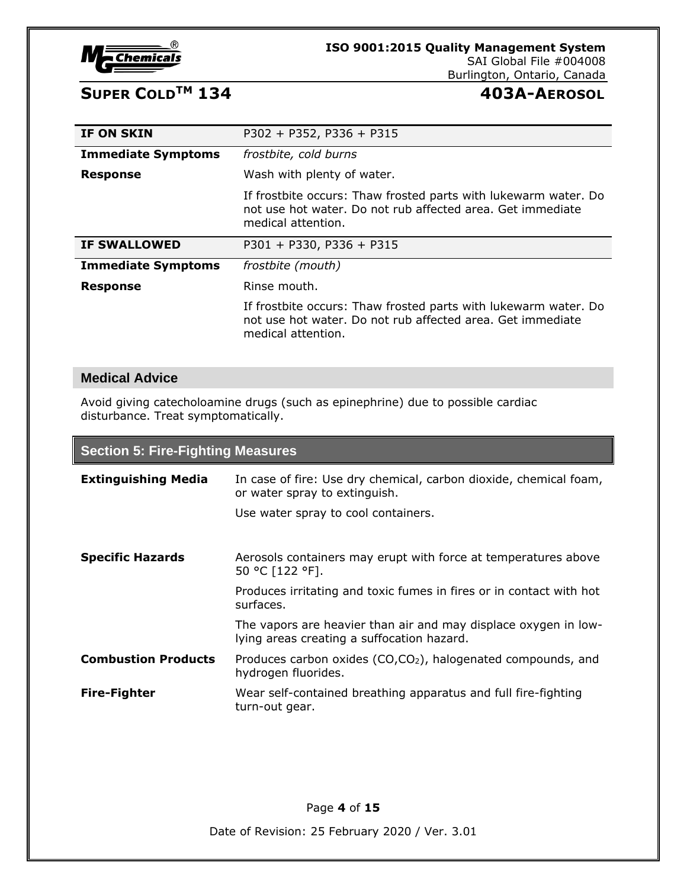

#### **ISO 9001:2015 Quality Management System** SAI Global File #004008

## Burlington, Ontario, Canada

# **SUPER COLDTM 134 403A-AEROSOL**

| IF ON SKIN                | $P302 + P352, P336 + P315$                                                                                                                          |
|---------------------------|-----------------------------------------------------------------------------------------------------------------------------------------------------|
| <b>Immediate Symptoms</b> | frostbite, cold burns                                                                                                                               |
| <b>Response</b>           | Wash with plenty of water.                                                                                                                          |
|                           | If frostbite occurs: Thaw frosted parts with lukewarm water. Do<br>not use hot water. Do not rub affected area. Get immediate<br>medical attention. |
|                           |                                                                                                                                                     |
| <b>IF SWALLOWED</b>       | $P301 + P330, P336 + P315$                                                                                                                          |
| <b>Immediate Symptoms</b> | frostbite (mouth)                                                                                                                                   |
| <b>Response</b>           | Rinse mouth.                                                                                                                                        |

#### **Medical Advice**

Avoid giving catecholoamine drugs (such as epinephrine) due to possible cardiac disturbance. Treat symptomatically.

### **Section 5: Fire-Fighting Measures**

| <b>Extinguishing Media</b> | In case of fire: Use dry chemical, carbon dioxide, chemical foam,<br>or water spray to extinguish.<br>Use water spray to cool containers.                             |
|----------------------------|-----------------------------------------------------------------------------------------------------------------------------------------------------------------------|
| <b>Specific Hazards</b>    | Aerosols containers may erupt with force at temperatures above<br>50 °C [122 °F].<br>Produces irritating and toxic fumes in fires or in contact with hot<br>surfaces. |
|                            | The vapors are heavier than air and may displace oxygen in low-<br>lying areas creating a suffocation hazard.                                                         |
| <b>Combustion Products</b> | Produces carbon oxides (CO,CO <sub>2</sub> ), halogenated compounds, and<br>hydrogen fluorides.                                                                       |
| <b>Fire-Fighter</b>        | Wear self-contained breathing apparatus and full fire-fighting<br>turn-out gear.                                                                                      |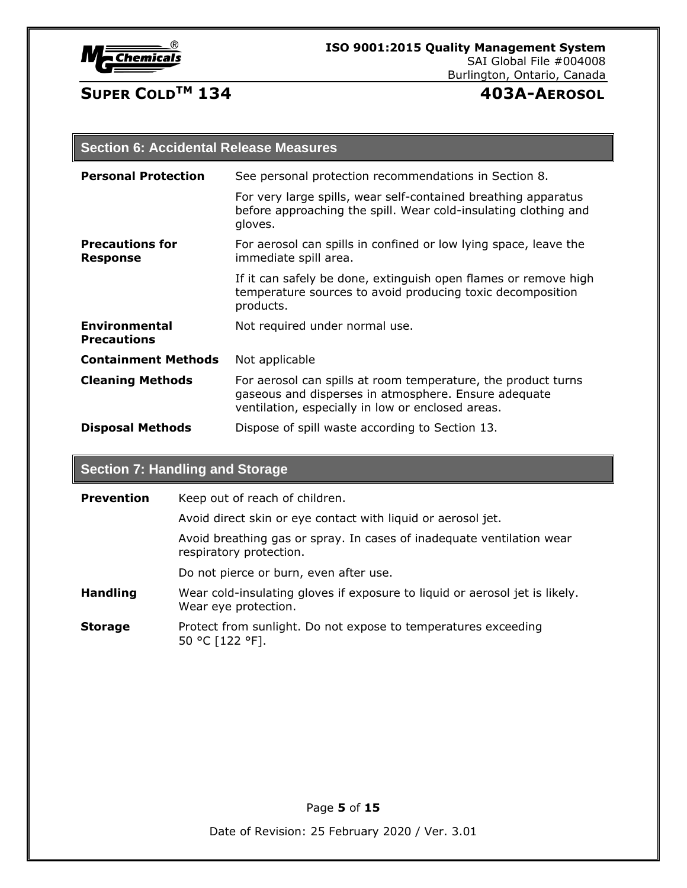

# **SUPER COLDTM 134 403A-AEROSOL**

### **Section 6: Accidental Release Measures**

| <b>Personal Protection</b>                | See personal protection recommendations in Section 8.                                                                                                                      |
|-------------------------------------------|----------------------------------------------------------------------------------------------------------------------------------------------------------------------------|
|                                           | For very large spills, wear self-contained breathing apparatus<br>before approaching the spill. Wear cold-insulating clothing and<br>gloves.                               |
| <b>Precautions for</b><br><b>Response</b> | For aerosol can spills in confined or low lying space, leave the<br>immediate spill area.                                                                                  |
|                                           | If it can safely be done, extinguish open flames or remove high<br>temperature sources to avoid producing toxic decomposition<br>products.                                 |
| Environmental<br><b>Precautions</b>       | Not required under normal use.                                                                                                                                             |
| <b>Containment Methods</b>                | Not applicable                                                                                                                                                             |
| <b>Cleaning Methods</b>                   | For aerosol can spills at room temperature, the product turns<br>gaseous and disperses in atmosphere. Ensure adequate<br>ventilation, especially in low or enclosed areas. |
| <b>Disposal Methods</b>                   | Dispose of spill waste according to Section 13.                                                                                                                            |

# **Section 7: Handling and Storage**

| <b>Prevention</b> | Keep out of reach of children.                                                                      |
|-------------------|-----------------------------------------------------------------------------------------------------|
|                   | Avoid direct skin or eye contact with liquid or aerosol jet.                                        |
|                   | Avoid breathing gas or spray. In cases of inadequate ventilation wear<br>respiratory protection.    |
|                   | Do not pierce or burn, even after use.                                                              |
| <b>Handling</b>   | Wear cold-insulating gloves if exposure to liquid or aerosol jet is likely.<br>Wear eye protection. |
| <b>Storage</b>    | Protect from sunlight. Do not expose to temperatures exceeding<br>50 °C [122 °F].                   |

Page **5** of **15**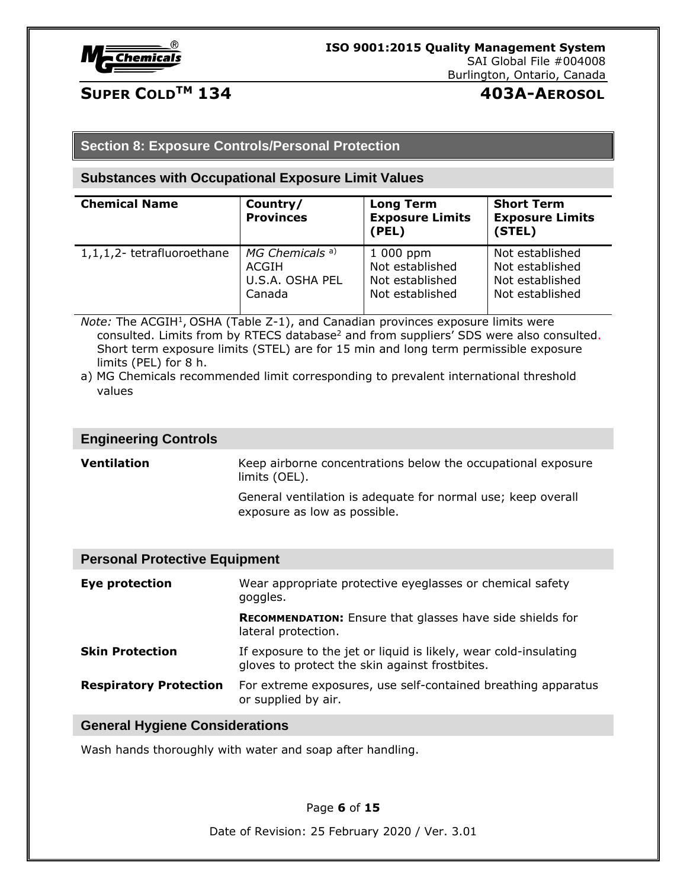

# **SUPER COLDTM 134 403A-AEROSOL**

#### **Section 8: Exposure Controls/Personal Protection**

#### **Substances with Occupational Exposure Limit Values**

| <b>Chemical Name</b>       | Country/<br><b>Provinces</b> | <b>Long Term</b><br><b>Exposure Limits</b><br>(PEL) | <b>Short Term</b><br><b>Exposure Limits</b><br>(STEL) |
|----------------------------|------------------------------|-----------------------------------------------------|-------------------------------------------------------|
| 1,1,1,2- tetrafluoroethane | MG Chemicals <sup>a)</sup>   | 1 000 ppm                                           | Not established                                       |
|                            | ACGIH                        | Not established                                     | Not established                                       |
|                            | U.S.A. OSHA PEL              | Not established                                     | Not established                                       |
|                            | Canada                       | Not established                                     | Not established                                       |

Note: The ACGIH<sup>1</sup>, OSHA (Table Z-1), and Canadian provinces exposure limits were consulted. Limits from by RTECS database<sup>2</sup> and from suppliers' SDS were also consulted. Short term exposure limits (STEL) are for 15 min and long term permissible exposure limits (PEL) for 8 h.

#### **Engineering Controls**

**Ventilation** Keep airborne concentrations below the occupational exposure limits (OEL).

General ventilation is adequate for normal use; keep overall exposure as low as possible.

#### **Personal Protective Equipment**

| Eye protection                | Wear appropriate protective eyeglasses or chemical safety<br>goggles.                                              |
|-------------------------------|--------------------------------------------------------------------------------------------------------------------|
|                               | <b>RECOMMENDATION:</b> Ensure that glasses have side shields for<br>lateral protection.                            |
| <b>Skin Protection</b>        | If exposure to the jet or liquid is likely, wear cold-insulating<br>gloves to protect the skin against frostbites. |
| <b>Respiratory Protection</b> | For extreme exposures, use self-contained breathing apparatus<br>or supplied by air.                               |

#### **General Hygiene Considerations**

Wash hands thoroughly with water and soap after handling.

Page **6** of **15**

a) MG Chemicals recommended limit corresponding to prevalent international threshold values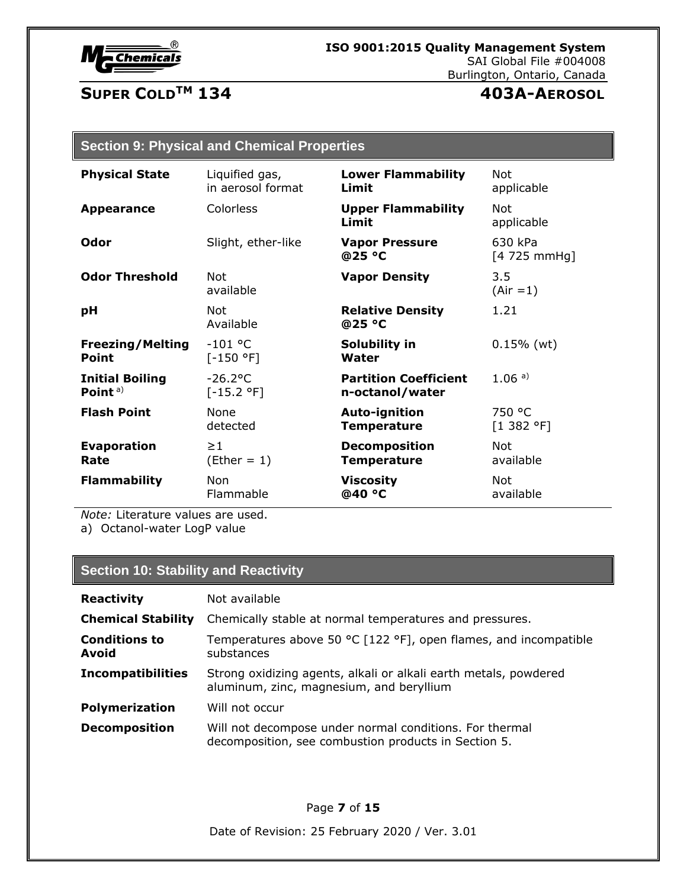

# **SUPER COLDTM 134 403A-AEROSOL**

| <b>Section 9: Physical and Chemical Properties</b> |  |  |
|----------------------------------------------------|--|--|
|                                                    |  |  |

| <b>Physical State</b>   | Liquified gas,          | <b>Lower Flammability</b>          | Not                      |
|-------------------------|-------------------------|------------------------------------|--------------------------|
|                         | in aerosol format       | Limit                              | applicable               |
| <b>Appearance</b>       | Colorless               | <b>Upper Flammability</b><br>Limit | <b>Not</b><br>applicable |
| Odor                    | Slight, ether-like      | <b>Vapor Pressure</b><br>@25 °C    | 630 kPa<br>[4 725 mmHg]  |
| <b>Odor Threshold</b>   | Not<br>available        | <b>Vapor Density</b>               | 3.5<br>$(Air = 1)$       |
| pH                      | <b>Not</b><br>Available | <b>Relative Density</b><br>@25 °C  | 1.21                     |
| <b>Freezing/Melting</b> | $-101 °C$               | Solubility in                      | $0.15%$ (wt)             |
| <b>Point</b>            | $[-150 °F]$             | Water                              |                          |
| <b>Initial Boiling</b>  | $-26.2$ °C              | <b>Partition Coefficient</b>       | 1.06a)                   |
| Point $a$ )             | $[-15.2 °F]$            | n-octanol/water                    |                          |
| <b>Flash Point</b>      | <b>None</b>             | <b>Auto-ignition</b>               | 750 °C                   |
|                         | detected                | <b>Temperature</b>                 | [1 382 °F]               |
| <b>Evaporation</b>      | $\geq$ 1                | <b>Decomposition</b>               | <b>Not</b>               |
| Rate                    | $(Ether = 1)$           | <b>Temperature</b>                 | available                |
| <b>Flammability</b>     | <b>Non</b>              | <b>Viscosity</b>                   | Not                      |
|                         | Flammable               | @40 °C                             | available                |

*Note:* Literature values are used. a) Octanol-water LogP value

# **Section 10: Stability and Reactivity**

| <b>Reactivity</b>             | Not available                                                                                                   |  |
|-------------------------------|-----------------------------------------------------------------------------------------------------------------|--|
| <b>Chemical Stability</b>     | Chemically stable at normal temperatures and pressures.                                                         |  |
| <b>Conditions to</b><br>Avoid | Temperatures above 50 °C [122 °F], open flames, and incompatible<br>substances                                  |  |
| <b>Incompatibilities</b>      | Strong oxidizing agents, alkali or alkali earth metals, powdered<br>aluminum, zinc, magnesium, and beryllium    |  |
| <b>Polymerization</b>         | Will not occur                                                                                                  |  |
| <b>Decomposition</b>          | Will not decompose under normal conditions. For thermal<br>decomposition, see combustion products in Section 5. |  |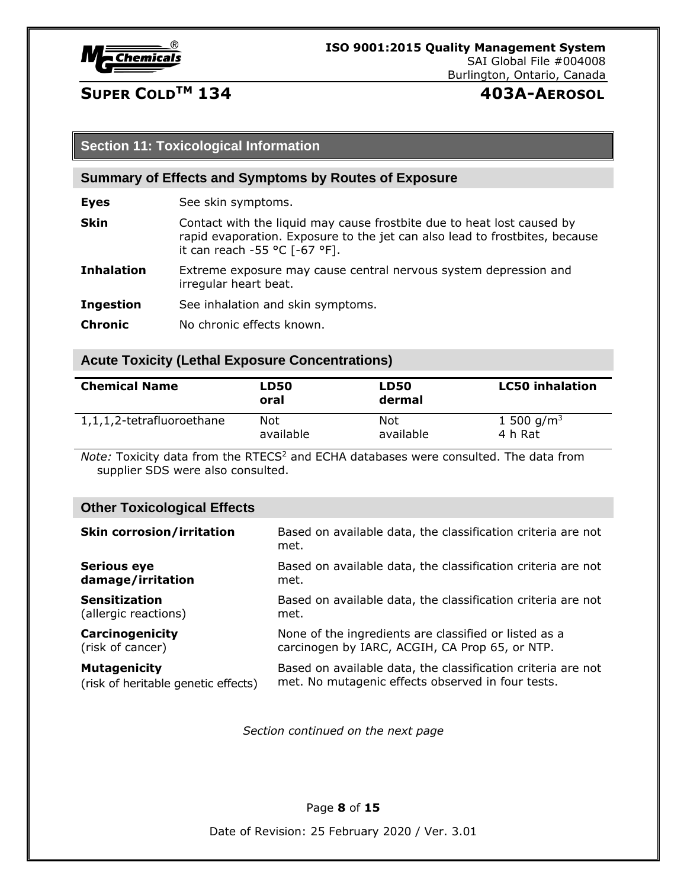

# **SUPER COLDTM 134 403A-AEROSOL**

#### **Section 11: Toxicological Information**

#### **Summary of Effects and Symptoms by Routes of Exposure**

**Eyes** See skin symptoms.

- **Skin** Contact with the liquid may cause frostbite due to heat lost caused by rapid evaporation. Exposure to the jet can also lead to frostbites, because it can reach -55 °C [-67 °F].
- **Inhalation** Extreme exposure may cause central nervous system depression and irregular heart beat.
- **Ingestion** See inhalation and skin symptoms.
- **Chronic** No chronic effects known.

#### **Acute Toxicity (Lethal Exposure Concentrations)**

| <b>Chemical Name</b>      | LD50<br>oral | <b>LD50</b><br>dermal | <b>LC50 inhalation</b> |
|---------------------------|--------------|-----------------------|------------------------|
| 1,1,1,2-tetrafluoroethane | Not          | Not                   | 1 500 g/m <sup>3</sup> |
|                           | available    | available             | 4 h Rat                |

*Note:* Toxicity data from the RTECS<sup>2</sup> and ECHA databases were consulted. The data from supplier SDS were also consulted.

### **Other Toxicological Effects**

| <b>Skin corrosion/irritation</b>    | Based on available data, the classification criteria are not<br>met. |
|-------------------------------------|----------------------------------------------------------------------|
| <b>Serious eye</b>                  | Based on available data, the classification criteria are not         |
| damage/irritation                   | met.                                                                 |
| <b>Sensitization</b>                | Based on available data, the classification criteria are not         |
| (allergic reactions)                | met.                                                                 |
| Carcinogenicity                     | None of the ingredients are classified or listed as a                |
| (risk of cancer)                    | carcinogen by IARC, ACGIH, CA Prop 65, or NTP.                       |
| <b>Mutagenicity</b>                 | Based on available data, the classification criteria are not         |
| (risk of heritable genetic effects) | met. No mutagenic effects observed in four tests.                    |

*Section continued on the next page*

Page **8** of **15**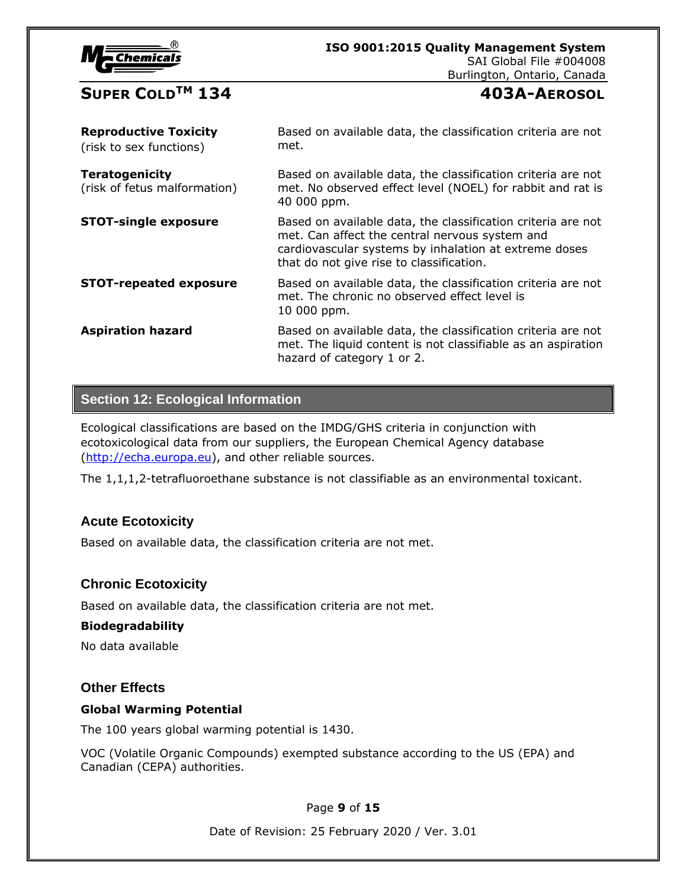| chemicais |
|-----------|
|           |

# **ISO 9001:2015 Quality Management System**

SAI Global File #004008

Burlington, Ontario, Canada

# $\mathbf{S}$ **UPER COLD<sup>TM</sup> 134**

| <b>403A-AEROSOL</b> |  |
|---------------------|--|
|---------------------|--|

| <b>Reproductive Toxicity</b><br>(risk to sex functions) | Based on available data, the classification criteria are not<br>met.                                                                                                                                                |
|---------------------------------------------------------|---------------------------------------------------------------------------------------------------------------------------------------------------------------------------------------------------------------------|
| <b>Teratogenicity</b><br>(risk of fetus malformation)   | Based on available data, the classification criteria are not<br>met. No observed effect level (NOEL) for rabbit and rat is<br>40 000 ppm.                                                                           |
| <b>STOT-single exposure</b>                             | Based on available data, the classification criteria are not<br>met. Can affect the central nervous system and<br>cardiovascular systems by inhalation at extreme doses<br>that do not give rise to classification. |
| <b>STOT-repeated exposure</b>                           | Based on available data, the classification criteria are not<br>met. The chronic no observed effect level is<br>10 000 ppm.                                                                                         |
| <b>Aspiration hazard</b>                                | Based on available data, the classification criteria are not<br>met. The liquid content is not classifiable as an aspiration<br>hazard of category 1 or 2.                                                          |

### **Section 12: Ecological Information**

Ecological classifications are based on the IMDG/GHS criteria in conjunction with ecotoxicological data from our suppliers, the European Chemical Agency database [\(http://echa.europa.eu\)](http://echa.europa.eu/), and other reliable sources.

The 1,1,1,2-tetrafluoroethane substance is not classifiable as an environmental toxicant.

### **Acute Ecotoxicity**

Based on available data, the classification criteria are not met.

### **Chronic Ecotoxicity**

Based on available data, the classification criteria are not met.

#### **Biodegradability**

No data available

#### **Other Effects**

#### **Global Warming Potential**

The 100 years global warming potential is 1430.

VOC (Volatile Organic Compounds) exempted substance according to the US (EPA) and Canadian (CEPA) authorities.

Page **9** of **15**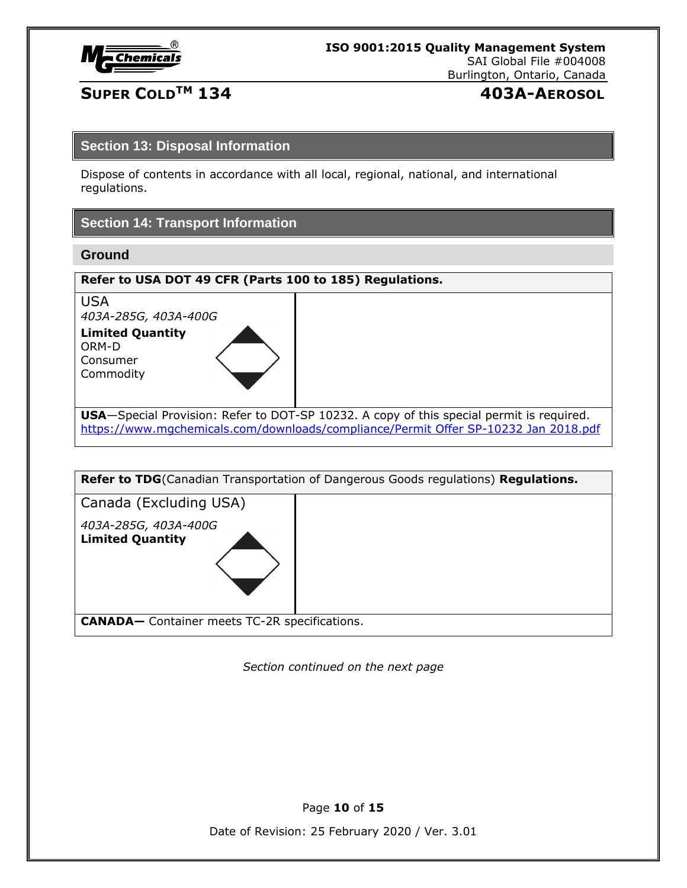

# **SUPER COLDTM 134 403A-AEROSOL**

#### **Section 13: Disposal Information**

Dispose of contents in accordance with all local, regional, national, and international regulations.

### **Section 14: Transport Information**

### **Ground**

| Refer to USA DOT 49 CFR (Parts 100 to 185) Regulations.   |                                                                                                  |  |
|-----------------------------------------------------------|--------------------------------------------------------------------------------------------------|--|
| <b>USA</b><br>403A-285G, 403A-400G                        |                                                                                                  |  |
| <b>Limited Quantity</b><br>ORM-D<br>Consumer<br>Commodity |                                                                                                  |  |
|                                                           | <b>USA</b> —Special Provision: Refer to DOT-SP 10232. A copy of this special permit is required. |  |
|                                                           | https://www.mgchemicals.com/downloads/compliance/Permit Offer SP-10232 Jan 2018.pdf              |  |



*Section continued on the next page*

Page **10** of **15**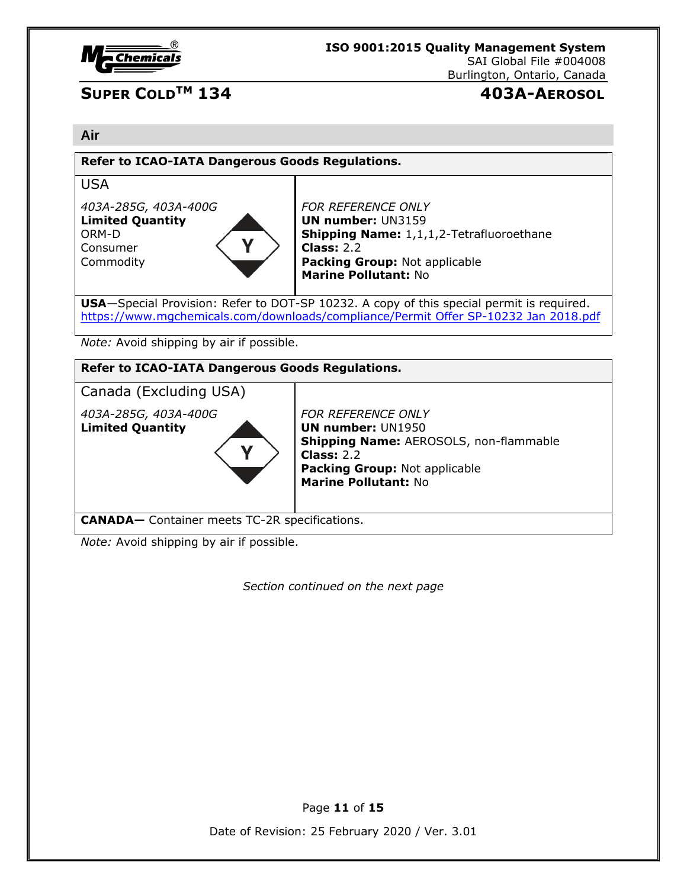

# **SUPER COLDTM 134 403A-AEROSOL**

#### **Air**

| <b>Refer to ICAO-IATA Dangerous Goods Regulations.</b>                                                                                                                                  |  |  |  |  |
|-----------------------------------------------------------------------------------------------------------------------------------------------------------------------------------------|--|--|--|--|
|                                                                                                                                                                                         |  |  |  |  |
| <b>FOR REFERENCE ONLY</b><br><b>UN number: UN3159</b><br>Shipping Name: 1,1,1,2-Tetrafluoroethane<br>Class: $2.2$<br>Packing Group: Not applicable<br>Marine Pollutant: No              |  |  |  |  |
| <b>USA</b> —Special Provision: Refer to DOT-SP 10232. A copy of this special permit is required.<br>https://www.mgchemicals.com/downloads/compliance/Permit Offer SP-10232 Jan 2018.pdf |  |  |  |  |
| Note: Avoid shipping by air if possible.                                                                                                                                                |  |  |  |  |
| <b>Refer to ICAO-IATA Dangerous Goods Regulations.</b>                                                                                                                                  |  |  |  |  |
|                                                                                                                                                                                         |  |  |  |  |
| FOR REFERENCE ONLY<br><b>UN number: UN1950</b><br>Shipping Name: AEROSOLS, non-flammable                                                                                                |  |  |  |  |
|                                                                                                                                                                                         |  |  |  |  |

**CANADA—** Container meets TC-2R specifications.

*Note:* Avoid shipping by air if possible.

*Section continued on the next page*

Page **11** of **15**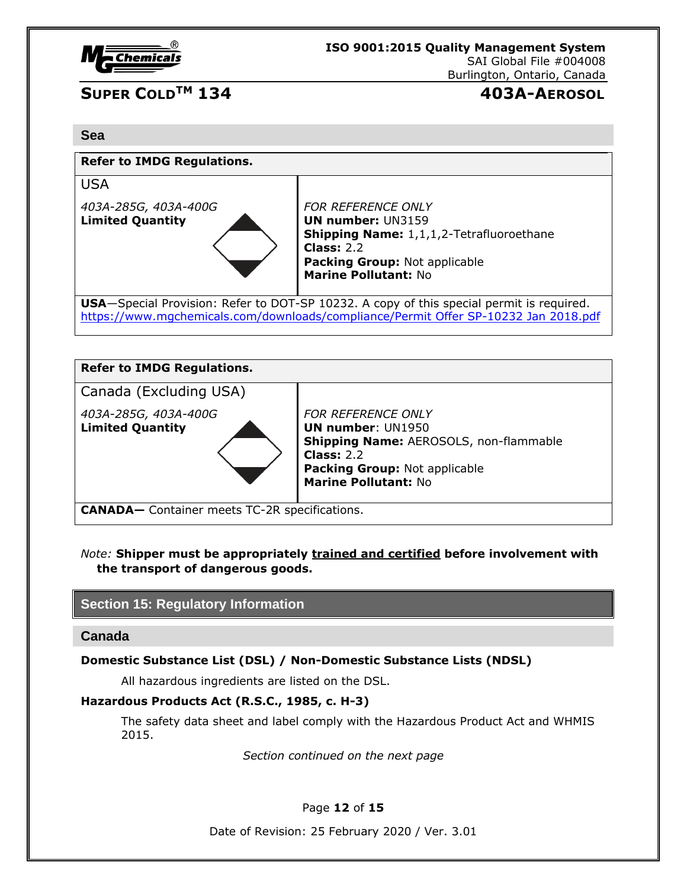

# **SUPER COLDTM 134 403A-AEROSOL**

#### **Sea**

| <b>Refer to IMDG Regulations.</b>               |                                                                                                                                                                                          |  |
|-------------------------------------------------|------------------------------------------------------------------------------------------------------------------------------------------------------------------------------------------|--|
| <b>USA</b>                                      |                                                                                                                                                                                          |  |
| 403A-285G, 403A-400G<br><b>Limited Quantity</b> | <b>FOR REFERENCE ONLY</b><br><b>UN number: UN3159</b><br><b>Shipping Name:</b> 1,1,1,2-Tetrafluoroethane<br>Class: $2.2$<br>Packing Group: Not applicable<br><b>Marine Pollutant: No</b> |  |
|                                                 | <b>USA</b> —Special Provision: Refer to DOT-SP 10232. A copy of this special permit is required.<br>https://www.mgchemicals.com/downloads/compliance/Permit Offer SP-10232 Jan 2018.pdf  |  |
|                                                 |                                                                                                                                                                                          |  |

| <b>Refer to IMDG Regulations.</b>               |                                                                                                                                                                                 |  |
|-------------------------------------------------|---------------------------------------------------------------------------------------------------------------------------------------------------------------------------------|--|
| Canada (Excluding USA)                          |                                                                                                                                                                                 |  |
| 403A-285G, 403A-400G<br><b>Limited Quantity</b> | <b>FOR REFERENCE ONLY</b><br><b>UN number: UN1950</b><br>Shipping Name: AEROSOLS, non-flammable<br>Class: $2.2$<br>Packing Group: Not applicable<br><b>Marine Pollutant: No</b> |  |

**CANADA—** Container meets TC-2R specifications.

*Note:* **Shipper must be appropriately trained and certified before involvement with the transport of dangerous goods.**

### **Section 15: Regulatory Information**

**Canada**

**Domestic Substance List (DSL) / Non-Domestic Substance Lists (NDSL)**

All hazardous ingredients are listed on the DSL.

#### **Hazardous Products Act (R.S.C., 1985, c. H-3)**

The safety data sheet and label comply with the Hazardous Product Act and WHMIS 2015.

*Section continued on the next page*

### Page **12** of **15**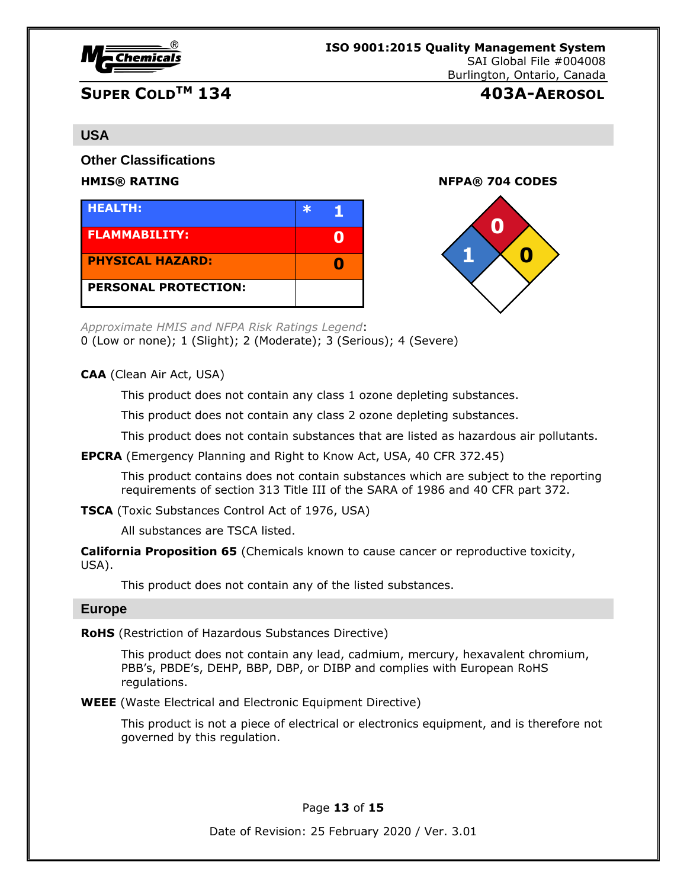

# **SUPER COLDTM 134 403A-AEROSOL**

#### **USA**

**Other Classifications**

| <b>HEALTH:</b>              |  |
|-----------------------------|--|
| <b>FLAMMABILITY:</b>        |  |
| <b>PHYSICAL HAZARD:</b>     |  |
| <b>PERSONAL PROTECTION:</b> |  |

**HMIS® RATING NFPA® 704 CODES**



*Approximate HMIS and NFPA Risk Ratings Legend*:

0 (Low or none); 1 (Slight); 2 (Moderate); 3 (Serious); 4 (Severe)

**CAA** (Clean Air Act, USA)

This product does not contain any class 1 ozone depleting substances.

This product does not contain any class 2 ozone depleting substances.

This product does not contain substances that are listed as hazardous air pollutants.

**EPCRA** (Emergency Planning and Right to Know Act, USA, 40 CFR 372.45)

This product contains does not contain substances which are subject to the reporting requirements of section 313 Title III of the SARA of 1986 and 40 CFR part 372.

**TSCA** (Toxic Substances Control Act of 1976, USA)

All substances are TSCA listed.

**California Proposition 65** (Chemicals known to cause cancer or reproductive toxicity, USA).

This product does not contain any of the listed substances.

#### **Europe**

**RoHS** (Restriction of Hazardous Substances Directive)

This product does not contain any lead, cadmium, mercury, hexavalent chromium, PBB's, PBDE's, DEHP, BBP, DBP, or DIBP and complies with European RoHS regulations.

**WEEE** (Waste Electrical and Electronic Equipment Directive)

This product is not a piece of electrical or electronics equipment, and is therefore not governed by this regulation.

Page **13** of **15**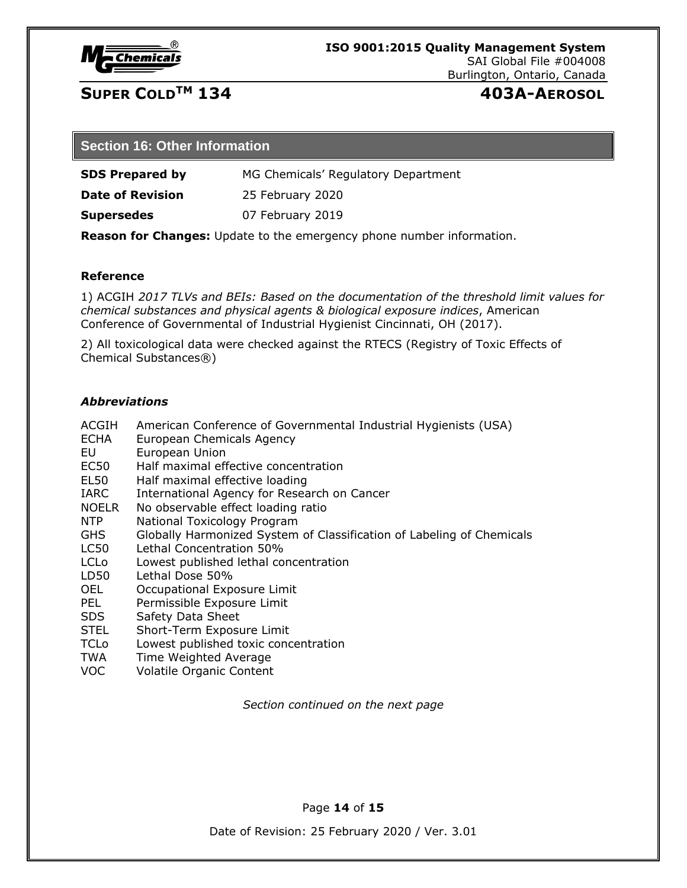

# **SUPER COLDTM 134 403A-AEROSOL**

#### **Section 16: Other Information**

**SDS Prepared by** MG Chemicals' Regulatory Department

**Date of Revision** 25 February 2020

**Supersedes** 07 February 2019

**Reason for Changes:** Update to the emergency phone number information.

#### **Reference**

1) ACGIH *2017 TLVs and BEIs: Based on the documentation of the threshold limit values for chemical substances and physical agents & biological exposure indices*, American Conference of Governmental of Industrial Hygienist Cincinnati, OH (2017).

2) All toxicological data were checked against the RTECS (Registry of Toxic Effects of Chemical Substances®)

#### *Abbreviations*

ACGIH American Conference of Governmental Industrial Hygienists (USA) ECHA European Chemicals Agency EU European Union EC50 Half maximal effective concentration EL50 Half maximal effective loading IARC International Agency for Research on Cancer NOELR No observable effect loading ratio NTP National Toxicology Program GHS Globally Harmonized System of Classification of Labeling of Chemicals LC50 Lethal Concentration 50% LCLo Lowest published lethal concentration LD50 Lethal Dose 50% OEL Occupational Exposure Limit PEL Permissible Exposure Limit SDS Safety Data Sheet STEL Short-Term Exposure Limit TCLo Lowest published toxic concentration TWA Time Weighted Average VOC Volatile Organic Content

*Section continued on the next page*

Page **14** of **15**